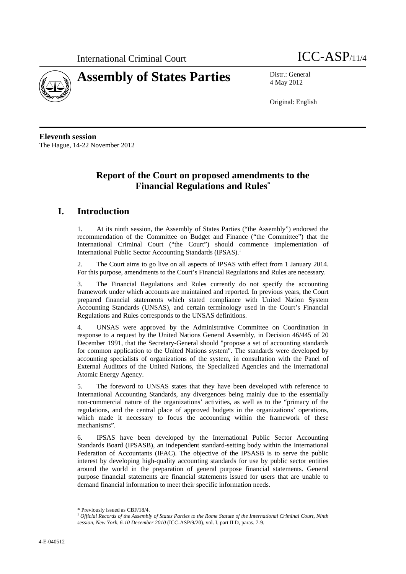



4 May 2012

Original: English

**Eleventh session**  The Hague, 14-22 November 2012

# **Report of the Court on proposed amendments to the Financial Regulations and Rules\***

# **I. Introduction**

1. At its ninth session, the Assembly of States Parties ("the Assembly") endorsed the recommendation of the Committee on Budget and Finance ("the Committee") that the International Criminal Court ("the Court") should commence implementation of International Public Sector Accounting Standards (IPSAS).<sup>1</sup>

2. The Court aims to go live on all aspects of IPSAS with effect from 1 January 2014. For this purpose, amendments to the Court's Financial Regulations and Rules are necessary.

3. The Financial Regulations and Rules currently do not specify the accounting framework under which accounts are maintained and reported. In previous years, the Court prepared financial statements which stated compliance with United Nation System Accounting Standards (UNSAS), and certain terminology used in the Court's Financial Regulations and Rules corresponds to the UNSAS definitions.

4. UNSAS were approved by the Administrative Committee on Coordination in response to a request by the United Nations General Assembly, in Decision 46/445 of 20 December 1991, that the Secretary-General should "propose a set of accounting standards for common application to the United Nations system". The standards were developed by accounting specialists of organizations of the system, in consultation with the Panel of External Auditors of the United Nations, the Specialized Agencies and the International Atomic Energy Agency.

5. The foreword to UNSAS states that they have been developed with reference to International Accounting Standards, any divergences being mainly due to the essentially non-commercial nature of the organizations' activities, as well as to the "primacy of the regulations, and the central place of approved budgets in the organizations' operations, which made it necessary to focus the accounting within the framework of these mechanisms".

6. IPSAS have been developed by the International Public Sector Accounting Standards Board (IPSASB), an independent standard-setting body within the International Federation of Accountants (IFAC). The objective of the IPSASB is to serve the public interest by developing high-quality accounting standards for use by public sector entities around the world in the preparation of general purpose financial statements. General purpose financial statements are financial statements issued for users that are unable to demand financial information to meet their specific information needs.

 $\overline{a}$ 

<sup>\*</sup> Previously issued as CBF/18/4.

<sup>&</sup>lt;sup>1</sup> Official Records of the Assembly of States Parties to the Rome Statute of the International Criminal Court, Ninth *session, New York, 6-10 December 2010* (ICC-ASP/9/20), vol. I, part II D, paras. 7-9.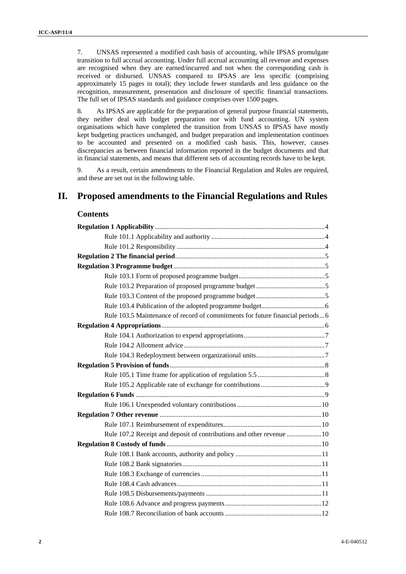7. UNSAS represented a modified cash basis of accounting, while IPSAS promulgate transition to full accrual accounting. Under full accrual accounting all revenue and expenses are recognised when they are earned/incurred and not when the corresponding cash is received or disbursed. UNSAS compared to IPSAS are less specific (comprising approximately 15 pages in total); they include fewer standards and less guidance on the recognition, measurement, presentation and disclosure of specific financial transactions. The full set of IPSAS standards and guidance comprises over 1500 pages.

8. As IPSAS are applicable for the preparation of general purpose financial statements, they neither deal with budget preparation nor with fund accounting. UN system organisations which have completed the transition from UNSAS to IPSAS have mostly kept budgeting practices unchanged, and budget preparation and implementation continues to be accounted and presented on a modified cash basis. This, however, causes discrepancies as between financial information reported in the budget documents and that in financial statements, and means that different sets of accounting records have to be kept.

9. As a result, certain amendments to the Financial Regulation and Rules are required, and these are set out in the following table.

# **II. Proposed amendments to the Financial Regulations and Rules**

# **Contents**

| Rule 103.5 Maintenance of record of commitments for future financial periods6 |
|-------------------------------------------------------------------------------|
|                                                                               |
|                                                                               |
|                                                                               |
|                                                                               |
|                                                                               |
|                                                                               |
|                                                                               |
|                                                                               |
|                                                                               |
|                                                                               |
|                                                                               |
| Rule 107.2 Receipt and deposit of contributions and other revenue  10         |
|                                                                               |
|                                                                               |
|                                                                               |
|                                                                               |
|                                                                               |
|                                                                               |
|                                                                               |
|                                                                               |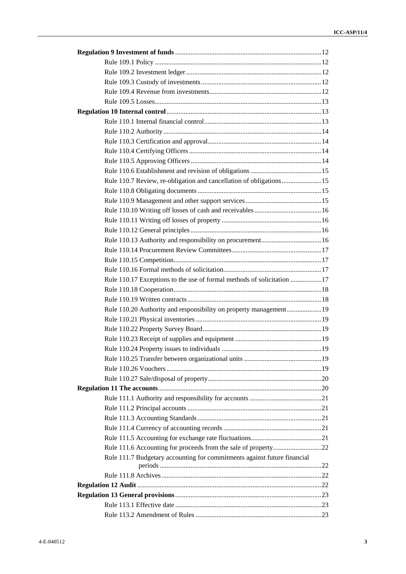| Rule 110.7 Review, re-obligation and cancellation of obligations15       |  |
|--------------------------------------------------------------------------|--|
|                                                                          |  |
|                                                                          |  |
|                                                                          |  |
|                                                                          |  |
|                                                                          |  |
|                                                                          |  |
|                                                                          |  |
|                                                                          |  |
|                                                                          |  |
| Rule 110.17 Exceptions to the use of formal methods of solicitation 17   |  |
|                                                                          |  |
|                                                                          |  |
|                                                                          |  |
| Rule 110.20 Authority and responsibility on property management 19       |  |
|                                                                          |  |
|                                                                          |  |
|                                                                          |  |
|                                                                          |  |
|                                                                          |  |
|                                                                          |  |
|                                                                          |  |
|                                                                          |  |
|                                                                          |  |
|                                                                          |  |
|                                                                          |  |
|                                                                          |  |
|                                                                          |  |
|                                                                          |  |
| Rule 111.7 Budgetary accounting for commitments against future financial |  |
|                                                                          |  |
|                                                                          |  |
|                                                                          |  |
|                                                                          |  |
|                                                                          |  |
|                                                                          |  |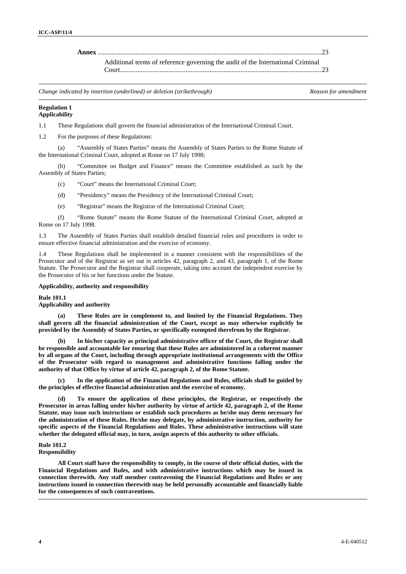**Annex** ..................................................................................................................................23

Additional terms of reference governing the audit of the International Criminal Court.....................................................................................................................23

*Change indicated by insertion (underlined) or deletion (strikethrough) Reason for amendment*

### **Regulation 1 Applicability**

1.1 These Regulations shall govern the financial administration of the International Criminal Court.

1.2 For the purposes of these Regulations:

 (a) "Assembly of States Parties" means the Assembly of States Parties to the Rome Statute of the International Criminal Court, adopted at Rome on 17 July 1998;

 (b) "Committee on Budget and Finance" means the Committee established as such by the Assembly of States Parties;

(c) "Court" means the International Criminal Court;

(d) "Presidency" means the Presidency of the International Criminal Court;

(e) "Registrar" means the Registrar of the International Criminal Court;

 (f) "Rome Statute" means the Rome Statute of the International Criminal Court, adopted at Rome on 17 July 1998.

1.3 The Assembly of States Parties shall establish detailed financial rules and procedures in order to ensure effective financial administration and the exercise of economy.

1.4 These Regulations shall be implemented in a manner consistent with the responsibilities of the Prosecutor and of the Registrar as set out in articles 42, paragraph 2, and 43, paragraph 1, of the Rome Statute. The Prosecutor and the Registrar shall cooperate, taking into account the independent exercise by the Prosecutor of his or her functions under the Statute.

# **Applicability, authority and responsibility**

**Rule 101.1** 

**Applicability and authority** 

 **(a) These Rules are in complement to, and limited by the Financial Regulations. They shall govern all the financial administration of the Court, except as may otherwise explicitly be provided by the Assembly of States Parties, or specifically exempted therefrom by the Registrar.** 

In his/her capacity as principal administrative officer of the Court, the Registrar shall **be responsible and accountable for ensuring that these Rules are administered in a coherent manner by all organs of the Court, including through appropriate institutional arrangements with the Office of the Prosecutor with regard to management and administrative functions falling under the authority of that Office by virtue of article 42, paragraph 2, of the Rome Statute.** 

 **(c) In the application of the Financial Regulations and Rules, officials shall be guided by the principles of effective financial administration and the exercise of economy.** 

 **(d) To ensure the application of these principles, the Registrar, or respectively the Prosecutor in areas falling under his/her authority by virtue of article 42, paragraph 2, of the Rome Statute, may issue such instructions or establish such procedures as he/she may deem necessary for the administration of these Rules. He/she may delegate, by administrative instruction, authority for specific aspects of the Financial Regulations and Rules. These administrative instructions will state whether the delegated official may, in turn, assign aspects of this authority to other officials.** 

# **Rule 101.2**

**Responsibility** 

 **All Court staff have the responsibility to comply, in the course of their official duties, with the Financial Regulations and Rules, and with administrative instructions which may be issued in connection therewith. Any staff member contravening the Financial Regulations and Rules or any instructions issued in connection therewith may be held personally accountable and financially liable for the consequences of such contraventions.**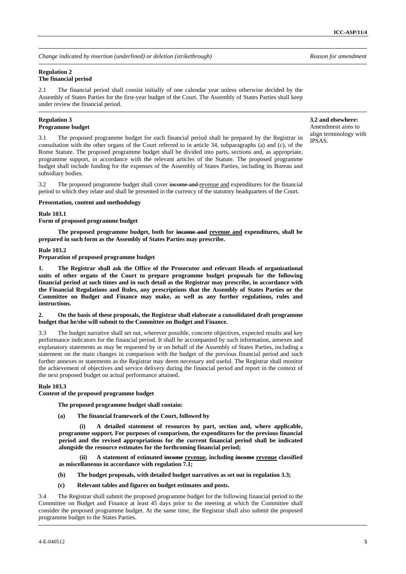# **Regulation 2 The financial period**

2.1 The financial period shall consist initially of one calendar year unless otherwise decided by the Assembly of States Parties for the first-year budget of the Court. The Assembly of States Parties shall keep under review the financial period.

# **Regulation 3 Programme budget**

3.1 The proposed programme budget for each financial period shall be prepared by the Registrar in consultation with the other organs of the Court referred to in article 34, subparagraphs (a) and (c), of the Rome Statute. The proposed programme budget shall be divided into parts, sections and, as appropriate, programme support, in accordance with the relevant articles of the Statute. The proposed programme budget shall include funding for the expenses of the Assembly of States Parties, including its Bureau and subsidiary bodies.

3.2 The proposed programme budget shall cover income and revenue and expenditures for the financial period to which they relate and shall be presented in the currency of the statutory headquarters of the Court.

# **Presentation, content and methodology**

# **Rule 103.1**

**Form of proposed programme budget** 

 **The proposed programme budget, both for income and revenue and expenditures, shall be prepared in such form as the Assembly of States Parties may prescribe.**

# **Rule 103.2**

**Preparation of proposed programme budget** 

**1. The Registrar shall ask the Office of the Prosecutor and relevant Heads of organizational units of other organs of the Court to prepare programme budget proposals for the following financial period at such times and in such detail as the Registrar may prescribe, in accordance with the Financial Regulations and Rules, any prescriptions that the Assembly of States Parties or the Committee on Budget and Finance may make, as well as any further regulations, rules and instructions.** 

# **2. On the basis of these proposals, the Registrar shall elaborate a consolidated draft programme budget that he/she will submit to the Committee on Budget and Finance.**

3.3 The budget narrative shall set out, wherever possible, concrete objectives, expected results and key performance indicators for the financial period. It shall be accompanied by such information, annexes and explanatory statements as may be requested by or on behalf of the Assembly of States Parties, including a statement on the main changes in comparison with the budget of the previous financial period and such further annexes or statements as the Registrar may deem necessary and useful. The Registrar shall monitor the achievement of objectives and service delivery during the financial period and report in the context of the next proposed budget on actual performance attained.

# **Rule 103.3**

**Content of the proposed programme budget** 

 **The proposed programme budget shall contain:** 

 **(a) The financial framework of the Court, followed by** 

**(i) A detailed statement of resources by part, section and, where applicable, programme support. For purposes of comparison, the expenditures for the previous financial period and the revised appropriations for the current financial period shall be indicated alongside the resource estimates for the forthcoming financial period;** 

(ii) A statement of estimated income revenue, including income revenue classified **as miscellaneous in accordance with regulation 7.1;** 

- **(b) The budget proposals, with detailed budget narratives as set out in regulation 3.3;**
- **(c) Relevant tables and figures on budget estimates and posts.**

3.4 The Registrar shall submit the proposed programme budget for the following financial period to the Committee on Budget and Finance at least 45 days prior to the meeting at which the Committee shall consider the proposed programme budget. At the same time, the Registrar shall also submit the proposed programme budget to the States Parties.

**3.2 and elsewhere:** Amendment aims to align terminology with IPSAS.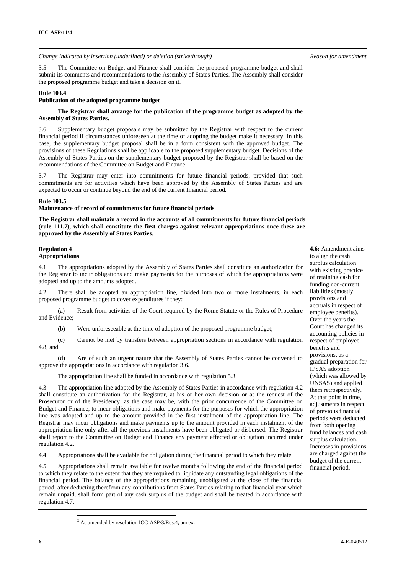3.5 The Committee on Budget and Finance shall consider the proposed programme budget and shall submit its comments and recommendations to the Assembly of States Parties. The Assembly shall consider the proposed programme budget and take a decision on it.

#### **Rule 103.4**

# **Publication of the adopted programme budget**

### **The Registrar shall arrange for the publication of the programme budget as adopted by the Assembly of States Parties.**

3.6 Supplementary budget proposals may be submitted by the Registrar with respect to the current financial period if circumstances unforeseen at the time of adopting the budget make it necessary. In this case, the supplementary budget proposal shall be in a form consistent with the approved budget. The provisions of these Regulations shall be applicable to the proposed supplementary budget. Decisions of the Assembly of States Parties on the supplementary budget proposed by the Registrar shall be based on the recommendations of the Committee on Budget and Finance.

3.7 The Registrar may enter into commitments for future financial periods, provided that such commitments are for activities which have been approved by the Assembly of States Parties and are expected to occur or continue beyond the end of the current financial period.

#### **Rule 103.5**

#### **Maintenance of record of commitments for future financial periods**

**The Registrar shall maintain a record in the accounts of all commitments for future financial periods (rule 111.7), which shall constitute the first charges against relevant appropriations once these are approved by the Assembly of States Parties.** 

### **Regulation 4 Appropriations**

4.1 The appropriations adopted by the Assembly of States Parties shall constitute an authorization for the Registrar to incur obligations and make payments for the purposes of which the appropriations were adopted and up to the amounts adopted.

4.2 There shall be adopted an appropriation line, divided into two or more instalments, in each proposed programme budget to cover expenditures if they:

 (a) Result from activities of the Court required by the Rome Statute or the Rules of Procedure and Evidence;

(b) Were unforeseeable at the time of adoption of the proposed programme budget;

 (c) Cannot be met by transfers between appropriation sections in accordance with regulation 4.8; and

 (d) Are of such an urgent nature that the Assembly of States Parties cannot be convened to approve the appropriations in accordance with regulation 3.6.

The appropriation line shall be funded in accordance with regulation 5.3.

4.3 The appropriation line adopted by the Assembly of States Parties in accordance with regulation 4.2 shall constitute an authorization for the Registrar, at his or her own decision or at the request of the Prosecutor or of the Presidency, as the case may be, with the prior concurrence of the Committee on Budget and Finance, to incur obligations and make payments for the purposes for which the appropriation line was adopted and up to the amount provided in the first instalment of the appropriation line. The Registrar may incur obligations and make payments up to the amount provided in each instalment of the appropriation line only after all the previous instalments have been obligated or disbursed. The Registrar shall report to the Committee on Budget and Finance any payment effected or obligation incurred under regulation 4.2.

4.4 Appropriations shall be available for obligation during the financial period to which they relate.

4.5 Appropriations shall remain available for twelve months following the end of the financial period to which they relate to the extent that they are required to liquidate any outstanding legal obligations of the financial period. The balance of the appropriations remaining unobligated at the close of the financial period, after deducting therefrom any contributions from States Parties relating to that financial year which remain unpaid, shall form part of any cash surplus of the budget and shall be treated in accordance with regulation 4.7.

**4.6:** Amendment aims to align the cash surplus calculation with existing practice of retaining cash for funding non-current liabilities (mostly provisions and accruals in respect of employee benefits). Over the years the Court has changed its accounting policies in respect of employee benefits and provisions, as a gradual preparation for IPSAS adoption (which was allowed by UNSAS) and applied them retrospectively. At that point in time, adjustments in respect of previous financial periods were deducted from both opening fund balances and cash surplus calculation. Increases in provisions are charged against the budget of the current financial period.

<sup>&</sup>lt;sup>2</sup> As amended by resolution ICC-ASP/3/Res.4, annex.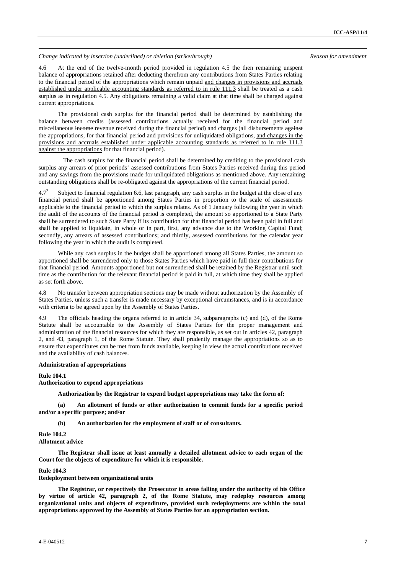4.6 At the end of the twelve-month period provided in regulation 4.5 the then remaining unspent balance of appropriations retained after deducting therefrom any contributions from States Parties relating to the financial period of the appropriations which remain unpaid and changes in provisions and accruals established under applicable accounting standards as referred to in rule 111.3 shall be treated as a cash surplus as in regulation 4.5. Any obligations remaining a valid claim at that time shall be charged against current appropriations.

 The provisional cash surplus for the financial period shall be determined by establishing the balance between credits (assessed contributions actually received for the financial period and miscellaneous income revenue received during the financial period) and charges (all disbursements against the appropriations, for that financial period and provisions for unliquidated obligations, and changes in the provisions and accruals established under applicable accounting standards as referred to in rule 111.3 against the appropriations for that financial period).

The cash surplus for the financial period shall be determined by crediting to the provisional cash surplus any arrears of prior periods' assessed contributions from States Parties received during this period and any savings from the provisions made for unliquidated obligations as mentioned above. Any remaining outstanding obligations shall be re-obligated against the appropriations of the current financial period.

 $4.7^{2}$  Subject to financial regulation 6.6, last paragraph, any cash surplus in the budget at the close of any financial period shall be apportioned among States Parties in proportion to the scale of assessments applicable to the financial period to which the surplus relates. As of 1 January following the year in which the audit of the accounts of the financial period is completed, the amount so apportioned to a State Party shall be surrendered to such State Party if its contribution for that financial period has been paid in full and shall be applied to liquidate, in whole or in part, first, any advance due to the Working Capital Fund; secondly, any arrears of assessed contributions; and thirdly, assessed contributions for the calendar year following the year in which the audit is completed.

 While any cash surplus in the budget shall be apportioned among all States Parties, the amount so apportioned shall be surrendered only to those States Parties which have paid in full their contributions for that financial period. Amounts apportioned but not surrendered shall be retained by the Registrar until such time as the contribution for the relevant financial period is paid in full, at which time they shall be applied as set forth above.

4.8 No transfer between appropriation sections may be made without authorization by the Assembly of States Parties, unless such a transfer is made necessary by exceptional circumstances, and is in accordance with criteria to be agreed upon by the Assembly of States Parties.

4.9 The officials heading the organs referred to in article 34, subparagraphs (c) and (d), of the Rome Statute shall be accountable to the Assembly of States Parties for the proper management and administration of the financial resources for which they are responsible, as set out in articles 42, paragraph 2, and 43, paragraph 1, of the Rome Statute. They shall prudently manage the appropriations so as to ensure that expenditures can be met from funds available, keeping in view the actual contributions received and the availability of cash balances.

#### **Administration of appropriations**

# **Rule 104.1**

**Authorization to expend appropriations** 

 **Authorization by the Registrar to expend budget appropriations may take the form of:** 

 **(a) An allotment of funds or other authorization to commit funds for a specific period and/or a specific purpose; and/or** 

 **(b) An authorization for the employment of staff or of consultants.** 

#### **Rule 104.2**

**Allotment advice** 

 **The Registrar shall issue at least annually a detailed allotment advice to each organ of the Court for the objects of expenditure for which it is responsible.** 

#### **Rule 104.3**

**Redeployment between organizational units** 

 **The Registrar, or respectively the Prosecutor in areas falling under the authority of his Office by virtue of article 42, paragraph 2, of the Rome Statute, may redeploy resources among organizational units and objects of expenditure, provided such redeployments are within the total appropriations approved by the Assembly of States Parties for an appropriation section.**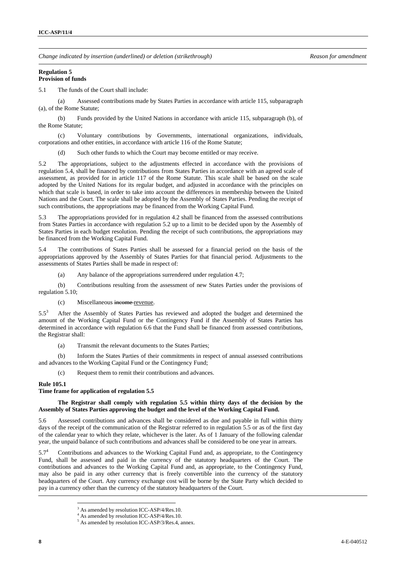#### **Regulation 5 Provision of funds**

5.1 The funds of the Court shall include:

 (a) Assessed contributions made by States Parties in accordance with article 115, subparagraph (a), of the Rome Statute;

 (b) Funds provided by the United Nations in accordance with article 115, subparagraph (b), of the Rome Statute;

 (c) Voluntary contributions by Governments, international organizations, individuals, corporations and other entities, in accordance with article 116 of the Rome Statute;

(d) Such other funds to which the Court may become entitled or may receive.

5.2 The appropriations, subject to the adjustments effected in accordance with the provisions of regulation 5.4, shall be financed by contributions from States Parties in accordance with an agreed scale of assessment, as provided for in article 117 of the Rome Statute. This scale shall be based on the scale adopted by the United Nations for its regular budget, and adjusted in accordance with the principles on which that scale is based, in order to take into account the differences in membership between the United Nations and the Court. The scale shall be adopted by the Assembly of States Parties. Pending the receipt of such contributions, the appropriations may be financed from the Working Capital Fund.

5.3 The appropriations provided for in regulation 4.2 shall be financed from the assessed contributions from States Parties in accordance with regulation 5.2 up to a limit to be decided upon by the Assembly of States Parties in each budget resolution. Pending the receipt of such contributions, the appropriations may be financed from the Working Capital Fund.

5.4 The contributions of States Parties shall be assessed for a financial period on the basis of the appropriations approved by the Assembly of States Parties for that financial period. Adjustments to the assessments of States Parties shall be made in respect of:

(a) Any balance of the appropriations surrendered under regulation 4.7;

 (b) Contributions resulting from the assessment of new States Parties under the provisions of regulation 5.10;

(c) Miscellaneous income revenue.

 $5.5^3$  After the Assembly of States Parties has reviewed and adopted the budget and determined the amount of the Working Capital Fund or the Contingency Fund if the Assembly of States Parties has determined in accordance with regulation 6.6 that the Fund shall be financed from assessed contributions, the Registrar shall:

(a) Transmit the relevant documents to the States Parties;

 (b) Inform the States Parties of their commitments in respect of annual assessed contributions and advances to the Working Capital Fund or the Contingency Fund;

(c) Request them to remit their contributions and advances.

# **Rule 105.1**

# **Time frame for application of regulation 5.5**

# **The Registrar shall comply with regulation 5.5 within thirty days of the decision by the Assembly of States Parties approving the budget and the level of the Working Capital Fund.**

Assessed contributions and advances shall be considered as due and payable in full within thirty days of the receipt of the communication of the Registrar referred to in regulation 5.5 or as of the first day of the calendar year to which they relate, whichever is the later. As of 1 January of the following calendar year, the unpaid balance of such contributions and advances shall be considered to be one year in arrears.

 $5.7^{4}$  Contributions and advances to the Working Capital Fund and, as appropriate, to the Contingency Fund, shall be assessed and paid in the currency of the statutory headquarters of the Court. The contributions and advances to the Working Capital Fund and, as appropriate, to the Contingency Fund, may also be paid in any other currency that is freely convertible into the currency of the statutory headquarters of the Court. Any currency exchange cost will be borne by the State Party which decided to pay in a currency other than the currency of the statutory headquarters of the Court.

 $\overline{a}$ <sup>3</sup> As amended by resolution ICC-ASP/4/Res.10.

<sup>&</sup>lt;sup>4</sup> As amended by resolution ICC-ASP/4/Res.10.

<sup>5</sup> As amended by resolution ICC-ASP/3/Res.4, annex.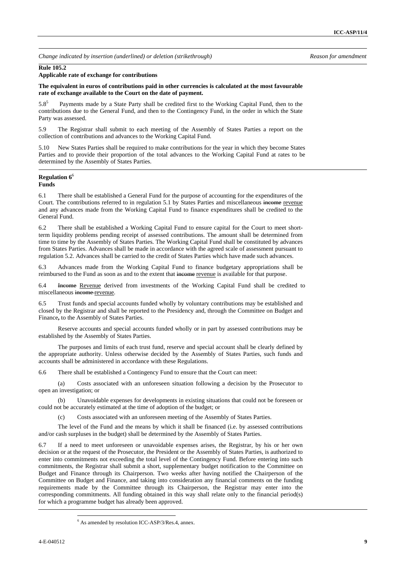# **Rule 105.2**

# **Applicable rate of exchange for contributions**

**The equivalent in euros of contributions paid in other currencies is calculated at the most favourable rate of exchange available to the Court on the date of payment.** 

 $5.8^{5}$  Payments made by a State Party shall be credited first to the Working Capital Fund, then to the contributions due to the General Fund, and then to the Contingency Fund, in the order in which the State Party was assessed.

5.9 The Registrar shall submit to each meeting of the Assembly of States Parties a report on the collection of contributions and advances to the Working Capital Fund.

5.10 New States Parties shall be required to make contributions for the year in which they become States Parties and to provide their proportion of the total advances to the Working Capital Fund at rates to be determined by the Assembly of States Parties.

#### **Regulation 6**<sup>6</sup> **Funds**

6.1 There shall be established a General Fund for the purpose of accounting for the expenditures of the Court. The contributions referred to in regulation 5.1 by States Parties and miscellaneous income revenue and any advances made from the Working Capital Fund to finance expenditures shall be credited to the General Fund.

6.2 There shall be established a Working Capital Fund to ensure capital for the Court to meet shortterm liquidity problems pending receipt of assessed contributions. The amount shall be determined from time to time by the Assembly of States Parties. The Working Capital Fund shall be constituted by advances from States Parties. Advances shall be made in accordance with the agreed scale of assessment pursuant to regulation 5.2. Advances shall be carried to the credit of States Parties which have made such advances.

6.3 Advances made from the Working Capital Fund to finance budgetary appropriations shall be reimbursed to the Fund as soon as and to the extent that income revenue is available for that purpose.

6.4 Income Revenue derived from investments of the Working Capital Fund shall be credited to miscellaneous income revenue.

6.5 Trust funds and special accounts funded wholly by voluntary contributions may be established and closed by the Registrar and shall be reported to the Presidency and, through the Committee on Budget and Finance**,** to the Assembly of States Parties.

 Reserve accounts and special accounts funded wholly or in part by assessed contributions may be established by the Assembly of States Parties.

 The purposes and limits of each trust fund, reserve and special account shall be clearly defined by the appropriate authority. Unless otherwise decided by the Assembly of States Parties, such funds and accounts shall be administered in accordance with these Regulations.

6.6 There shall be established a Contingency Fund to ensure that the Court can meet:

 (a) Costs associated with an unforeseen situation following a decision by the Prosecutor to open an investigation; or

 (b) Unavoidable expenses for developments in existing situations that could not be foreseen or could not be accurately estimated at the time of adoption of the budget; or

(c) Costs associated with an unforeseen meeting of the Assembly of States Parties.

 The level of the Fund and the means by which it shall be financed (i.e. by assessed contributions and/or cash surpluses in the budget) shall be determined by the Assembly of States Parties.

6.7 If a need to meet unforeseen or unavoidable expenses arises, the Registrar, by his or her own decision or at the request of the Prosecutor, the President or the Assembly of States Parties, is authorized to enter into commitments not exceeding the total level of the Contingency Fund. Before entering into such commitments, the Registrar shall submit a short, supplementary budget notification to the Committee on Budget and Finance through its Chairperson. Two weeks after having notified the Chairperson of the Committee on Budget and Finance, and taking into consideration any financial comments on the funding requirements made by the Committee through its Chairperson, the Registrar may enter into the corresponding commitments. All funding obtained in this way shall relate only to the financial period(s) for which a programme budget has already been approved.

<sup>6</sup> As amended by resolution ICC-ASP/3/Res.4, annex.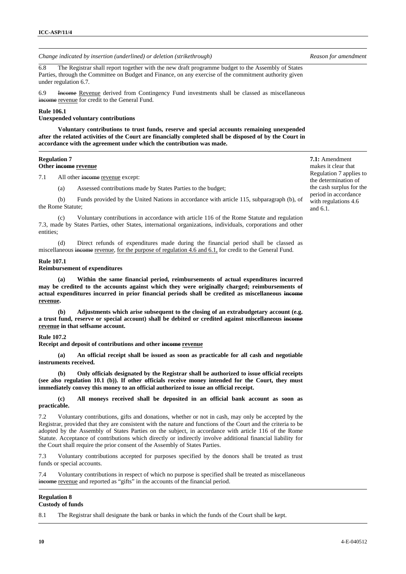6.8 The Registrar shall report together with the new draft programme budget to the Assembly of States Parties, through the Committee on Budget and Finance, on any exercise of the commitment authority given under regulation 6.7.

6.9 Income Revenue derived from Contingency Fund investments shall be classed as miscellaneous income revenue for credit to the General Fund.

# **Rule 106.1**

**Unexpended voluntary contributions** 

 **Voluntary contributions to trust funds, reserve and special accounts remaining unexpended after the related activities of the Court are financially completed shall be disposed of by the Court in accordance with the agreement under which the contribution was made.**

# **Regulation 7**

# **Other income revenue**

7.1 All other income revenue except:

(a) Assessed contributions made by States Parties to the budget;

 (b) Funds provided by the United Nations in accordance with article 115, subparagraph (b), of the Rome Statute;

 (c) Voluntary contributions in accordance with article 116 of the Rome Statute and regulation 7.3, made by States Parties, other States, international organizations, individuals, corporations and other entities;

 (d) Direct refunds of expenditures made during the financial period shall be classed as miscellaneous income revenue, for the purpose of regulation 4.6 and 6.1, for credit to the General Fund.

#### **Rule 107.1**

#### **Reimbursement of expenditures**

 **(a) Within the same financial period, reimbursements of actual expenditures incurred may be credited to the accounts against which they were originally charged; reimbursements of actual expenditures incurred in prior financial periods shall be credited as miscellaneous income revenue.** 

 **(b) Adjustments which arise subsequent to the closing of an extrabudgetary account (e.g. a trust fund, reserve or special account) shall be debited or credited against miscellaneous income revenue in that selfsame account.** 

# **Rule 107.2**

**Receipt and deposit of contributions and other income revenue**

 **(a) An official receipt shall be issued as soon as practicable for all cash and negotiable instruments received.** 

 **(b) Only officials designated by the Registrar shall be authorized to issue official receipts (see also regulation 10.1 (b)). If other officials receive money intended for the Court, they must immediately convey this money to an official authorized to issue an official receipt.** 

# **(c) All moneys received shall be deposited in an official bank account as soon as practicable.**

7.2 Voluntary contributions, gifts and donations, whether or not in cash, may only be accepted by the Registrar, provided that they are consistent with the nature and functions of the Court and the criteria to be adopted by the Assembly of States Parties on the subject, in accordance with article 116 of the Rome Statute. Acceptance of contributions which directly or indirectly involve additional financial liability for the Court shall require the prior consent of the Assembly of States Parties.

7.3 Voluntary contributions accepted for purposes specified by the donors shall be treated as trust funds or special accounts.

7.4 Voluntary contributions in respect of which no purpose is specified shall be treated as miscellaneous income revenue and reported as "gifts" in the accounts of the financial period.

#### **Regulation 8 Custody of funds**

8.1 The Registrar shall designate the bank or banks in which the funds of the Court shall be kept.

**7.1:** Amendment makes it clear that Regulation 7 applies to the determination of the cash surplus for the period in accordance with regulations 4.6 and 6.1.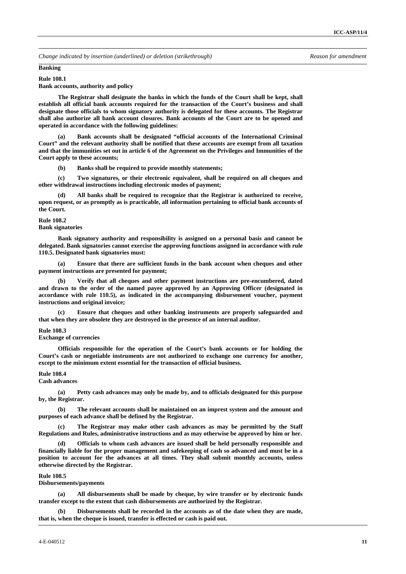#### **Banking**

#### **Rule 108.1**

**Bank accounts, authority and policy** 

 **The Registrar shall designate the banks in which the funds of the Court shall be kept, shall establish all official bank accounts required for the transaction of the Court's business and shall designate those officials to whom signatory authority is delegated for these accounts. The Registrar shall also authorize all bank account closures. Bank accounts of the Court are to be opened and operated in accordance with the following guidelines:** 

 **(a) Bank accounts shall be designated "official accounts of the International Criminal Court" and the relevant authority shall be notified that these accounts are exempt from all taxation and that the immunities set out in article 6 of the Agreement on the Privileges and Immunities of the Court apply to these accounts;** 

 **(b) Banks shall be required to provide monthly statements;** 

 **(c) Two signatures, or their electronic equivalent, shall be required on all cheques and other withdrawal instructions including electronic modes of payment;** 

 **(d) All banks shall be required to recognize that the Registrar is authorized to receive, upon request, or as promptly as is practicable, all information pertaining to official bank accounts of the Court.** 

### **Rule 108.2**

### **Bank signatories**

 **Bank signatory authority and responsibility is assigned on a personal basis and cannot be delegated. Bank signatories cannot exercise the approving functions assigned in accordance with rule 110.5. Designated bank signatories must:** 

 **(a) Ensure that there are sufficient funds in the bank account when cheques and other payment instructions are presented for payment;** 

 **(b) Verify that all cheques and other payment instructions are pre-encumbered, dated and drawn to the order of the named payee approved by an Approving Officer (designated in accordance with rule 110.5), as indicated in the accompanying disbursement voucher, payment instructions and original invoice;** 

 **(c) Ensure that cheques and other banking instruments are properly safeguarded and that when they are obsolete they are destroyed in the presence of an internal auditor.** 

#### **Rule 108.3**

#### **Exchange of currencies**

 **Officials responsible for the operation of the Court's bank accounts or for holding the Court's cash or negotiable instruments are not authorized to exchange one currency for another, except to the minimum extent essential for the transaction of official business.** 

#### **Rule 108.4**

# **Cash advances**

 **(a) Petty cash advances may only be made by, and to officials designated for this purpose by, the Registrar.** 

 **(b) The relevant accounts shall be maintained on an imprest system and the amount and purposes of each advance shall be defined by the Registrar.** 

 **(c) The Registrar may make other cash advances as may be permitted by the Staff Regulations and Rules, administrative instructions and as may otherwise be approved by him or her.** 

**Officials to whom cash advances are issued shall be held personally responsible and financially liable for the proper management and safekeeping of cash so advanced and must be in a position to account for the advances at all times. They shall submit monthly accounts, unless otherwise directed by the Registrar.** 

#### **Rule 108.5**

# **Disbursements/payments**

 **(a) All disbursements shall be made by cheque, by wire transfer or by electronic funds transfer except to the extent that cash disbursements are authorized by the Registrar.** 

 **(b) Disbursements shall be recorded in the accounts as of the date when they are made, that is, when the cheque is issued, transfer is effected or cash is paid out.**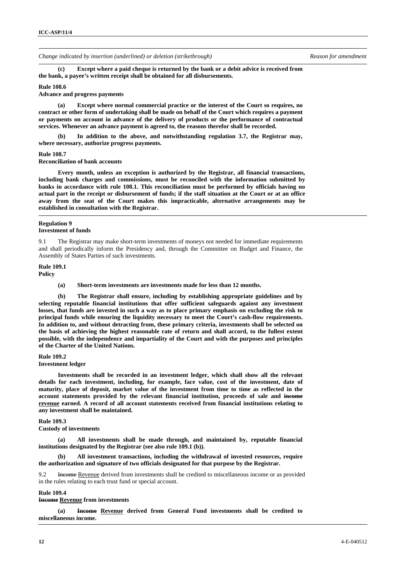**(c) Except where a paid cheque is returned by the bank or a debit advice is received from the bank, a payee's written receipt shall be obtained for all disbursements.** 

#### **Rule 108.6**

**Advance and progress payments** 

 **(a) Except where normal commercial practice or the interest of the Court so requires, no contract or other form of undertaking shall be made on behalf of the Court which requires a payment or payments on account in advance of the delivery of products or the performance of contractual services. Whenever an advance payment is agreed to, the reasons therefor shall be recorded.** 

In addition to the above, and notwithstanding regulation 3.7, the Registrar may, **where necessary, authorize progress payments.** 

#### **Rule 108.7**

**Reconciliation of bank accounts** 

 **Every month, unless an exception is authorized by the Registrar, all financial transactions, including bank charges and commissions, must be reconciled with the information submitted by banks in accordance with rule 108.1. This reconciliation must be performed by officials having no actual part in the receipt or disbursement of funds; if the staff situation at the Court or at an office away from the seat of the Court makes this impracticable, alternative arrangements may be established in consultation with the Registrar.**

#### **Regulation 9 Investment of funds**

9.1 The Registrar may make short-term investments of moneys not needed for immediate requirements and shall periodically inform the Presidency and, through the Committee on Budget and Finance, the Assembly of States Parties of such investments.

# **Rule 109.1**

**Policy** 

 **(a) Short-term investments are investments made for less than 12 months.** 

 **(b) The Registrar shall ensure, including by establishing appropriate guidelines and by selecting reputable financial institutions that offer sufficient safeguards against any investment losses, that funds are invested in such a way as to place primary emphasis on excluding the risk to principal funds while ensuring the liquidity necessary to meet the Court's cash-flow requirements. In addition to, and without detracting from, these primary criteria, investments shall be selected on the basis of achieving the highest reasonable rate of return and shall accord, to the fullest extent possible, with the independence and impartiality of the Court and with the purposes and principles of the Charter of the United Nations.** 

# **Rule 109.2**

**Investment ledger** 

 **Investments shall be recorded in an investment ledger, which shall show all the relevant details for each investment, including, for example, face value, cost of the investment, date of maturity, place of deposit, market value of the investment from time to time as reflected in the account statements provided by the relevant financial institution, proceeds of sale and income revenue earned. A record of all account statements received from financial institutions relating to any investment shall be maintained.** 

**Rule 109.3** 

**Custody of investments** 

 **(a) All investments shall be made through, and maintained by, reputable financial institutions designated by the Registrar (see also rule 109.1 (b)).** 

 **(b) All investment transactions, including the withdrawal of invested resources, require the authorization and signature of two officials designated for that purpose by the Registrar.** 

**Here** Revenue derived from investments shall be credited to miscellaneous income or as provided in the rules relating to each trust fund or special account.

### **Rule 109.4**

**Income Revenue from investments** 

 **(a) Income Revenue derived from General Fund investments shall be credited to miscellaneous income.**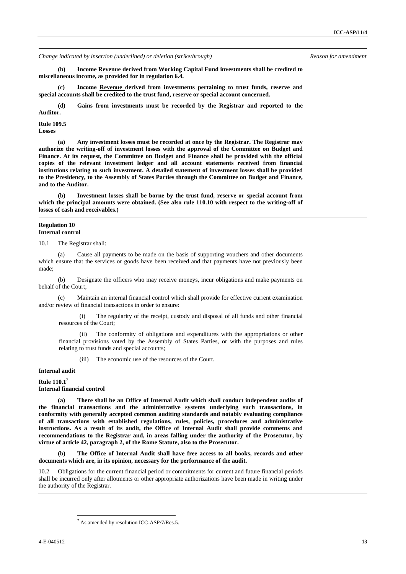**(b) Income Revenue derived from Working Capital Fund investments shall be credited to miscellaneous income, as provided for in regulation 6.4.** 

 **(c) Income Revenue derived from investments pertaining to trust funds, reserve and special accounts shall be credited to the trust fund, reserve or special account concerned.** 

 **(d) Gains from investments must be recorded by the Registrar and reported to the Auditor.** 

# **Rule 109.5**

**Losses** 

 **(a) Any investment losses must be recorded at once by the Registrar. The Registrar may authorize the writing-off of investment losses with the approval of the Committee on Budget and Finance. At its request, the Committee on Budget and Finance shall be provided with the official copies of the relevant investment ledger and all account statements received from financial institutions relating to such investment. A detailed statement of investment losses shall be provided to the Presidency, to the Assembly of States Parties through the Committee on Budget and Finance, and to the Auditor.** 

 **(b) Investment losses shall be borne by the trust fund, reserve or special account from which the principal amounts were obtained. (See also rule 110.10 with respect to the writing-off of losses of cash and receivables.)**

#### **Regulation 10 Internal control**

10.1 The Registrar shall:

 (a) Cause all payments to be made on the basis of supporting vouchers and other documents which ensure that the services or goods have been received and that payments have not previously been made;

 (b) Designate the officers who may receive moneys, incur obligations and make payments on behalf of the Court;

 (c) Maintain an internal financial control which shall provide for effective current examination and/or review of financial transactions in order to ensure:

(i) The regularity of the receipt, custody and disposal of all funds and other financial resources of the Court;

(ii) The conformity of obligations and expenditures with the appropriations or other financial provisions voted by the Assembly of States Parties, or with the purposes and rules relating to trust funds and special accounts;

(iii) The economic use of the resources of the Court.

# **Internal audit**

**Rule 110.1**<sup>7</sup> **Internal financial control** 

 **(a) There shall be an Office of Internal Audit which shall conduct independent audits of the financial transactions and the administrative systems underlying such transactions, in conformity with generally accepted common auditing standards and notably evaluating compliance of all transactions with established regulations, rules, policies, procedures and administrative instructions. As a result of its audit, the Office of Internal Audit shall provide comments and recommendations to the Registrar and, in areas falling under the authority of the Prosecutor, by virtue of article 42, paragraph 2, of the Rome Statute, also to the Prosecutor.** 

 **(b) The Office of Internal Audit shall have free access to all books, records and other documents which are, in its opinion, necessary for the performance of the audit.** 

10.2 Obligations for the current financial period or commitments for current and future financial periods shall be incurred only after allotments or other appropriate authorizations have been made in writing under the authority of the Registrar.

<sup>&</sup>lt;sup>7</sup> As amended by resolution ICC-ASP/7/Res.5.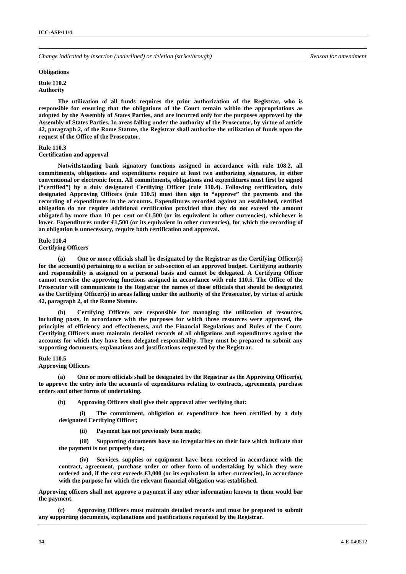#### **Obligations**

**Rule 110.2 Authority** 

 **The utilization of all funds requires the prior authorization of the Registrar, who is responsible for ensuring that the obligations of the Court remain within the appropriations as adopted by the Assembly of States Parties, and are incurred only for the purposes approved by the Assembly of States Parties. In areas falling under the authority of the Prosecutor, by virtue of article 42, paragraph 2, of the Rome Statute, the Registrar shall authorize the utilization of funds upon the request of the Office of the Prosecutor.** 

# **Rule 110.3**

#### **Certification and approval**

 **Notwithstanding bank signatory functions assigned in accordance with rule 108.2, all commitments, obligations and expenditures require at least two authorizing signatures, in either conventional or electronic form. All commitments, obligations and expenditures must first be signed ("certified") by a duly designated Certifying Officer (rule 110.4). Following certification, duly designated Approving Officers (rule 110.5) must then sign to "approve" the payments and the recording of expenditures in the accounts. Expenditures recorded against an established, certified obligation do not require additional certification provided that they do not exceed the amount obligated by more than 10 per cent or**  $\epsilon$ **1,500 (or its equivalent in other currencies), whichever is lower. Expenditures under €1,500 (or its equivalent in other currencies), for which the recording of an obligation is unnecessary, require both certification and approval.** 

#### **Rule 110.4**

# **Certifying Officers**

 **(a) One or more officials shall be designated by the Registrar as the Certifying Officer(s) for the account(s) pertaining to a section or sub-section of an approved budget. Certifying authority and responsibility is assigned on a personal basis and cannot be delegated. A Certifying Officer cannot exercise the approving functions assigned in accordance with rule 110.5. The Office of the Prosecutor will communicate to the Registrar the names of those officials that should be designated as the Certifying Officer(s) in areas falling under the authority of the Prosecutor, by virtue of article 42, paragraph 2, of the Rome Statute.** 

 **(b) Certifying Officers are responsible for managing the utilization of resources, including posts, in accordance with the purposes for which those resources were approved, the principles of efficiency and effectiveness, and the Financial Regulations and Rules of the Court. Certifying Officers must maintain detailed records of all obligations and expenditures against the accounts for which they have been delegated responsibility. They must be prepared to submit any supporting documents, explanations and justifications requested by the Registrar.** 

#### **Rule 110.5**

**Approving Officers** 

 **(a) One or more officials shall be designated by the Registrar as the Approving Officer(s), to approve the entry into the accounts of expenditures relating to contracts, agreements, purchase orders and other forms of undertaking.** 

 **(b) Approving Officers shall give their approval after verifying that:** 

**(i) The commitment, obligation or expenditure has been certified by a duly designated Certifying Officer;** 

**(ii) Payment has not previously been made;** 

**(iii) Supporting documents have no irregularities on their face which indicate that the payment is not properly due;** 

**(iv) Services, supplies or equipment have been received in accordance with the contract, agreement, purchase order or other form of undertaking by which they were ordered and, if the cost exceeds €3,000 (or its equivalent in other currencies), in accordance with the purpose for which the relevant financial obligation was established.** 

**Approving officers shall not approve a payment if any other information known to them would bar the payment.** 

 **(c) Approving Officers must maintain detailed records and must be prepared to submit any supporting documents, explanations and justifications requested by the Registrar.**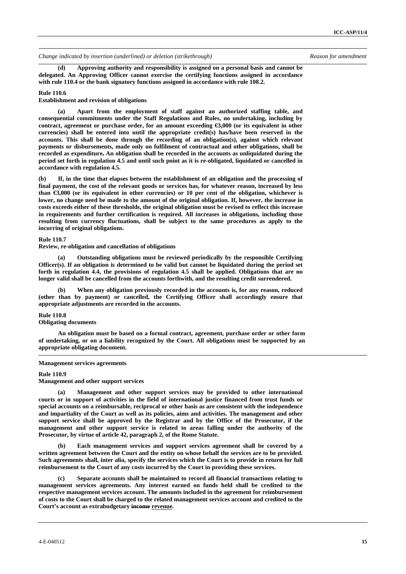**(d) Approving authority and responsibility is assigned on a personal basis and cannot be delegated. An Approving Officer cannot exercise the certifying functions assigned in accordance with rule 110.4 or the bank signatory functions assigned in accordance with rule 108.2.** 

#### **Rule 110.6**

**Establishment and revision of obligations** 

 **(a) Apart from the employment of staff against an authorized staffing table, and consequential commitments under the Staff Regulations and Rules, no undertaking, including by contract, agreement or purchase order, for an amount exceeding €3,000 (or its equivalent in other currencies) shall be entered into until the appropriate credit(s) has/have been reserved in the accounts. This shall be done through the recording of an obligation(s), against which relevant payments or disbursements, made only on fulfilment of contractual and other obligations, shall be recorded as expenditure. An obligation shall be recorded in the accounts as unliquidated during the period set forth in regulation 4.5 and until such point as it is re-obligated, liquidated or cancelled in accordance with regulation 4.5.** 

**(b) If, in the time that elapses between the establishment of an obligation and the processing of final payment, the cost of the relevant goods or services has, for whatever reason, increased by less than €3,000 (or its equivalent in other currencies) or 10 per cent of the obligation, whichever is lower, no change need be made to the amount of the original obligation. If, however, the increase in costs exceeds either of these thresholds, the original obligation must be revised to reflect this increase in requirements and further certification is required. All increases in obligations, including those resulting from currency fluctuations, shall be subject to the same procedures as apply to the incurring of original obligations.** 

# **Rule 110.7**

**Review, re-obligation and cancellation of obligations** 

 **(a) Outstanding obligations must be reviewed periodically by the responsible Certifying Officer(s). If an obligation is determined to be valid but cannot be liquidated during the period set forth in regulation 4.4, the provisions of regulation 4.5 shall be applied. Obligations that are no longer valid shall be cancelled from the accounts forthwith, and the resulting credit surrendered.** 

When any obligation previously recorded in the accounts is, for any reason, reduced **(other than by payment) or cancelled, the Certifying Officer shall accordingly ensure that appropriate adjustments are recorded in the accounts.** 

#### **Rule 110.8**

#### **Obligating documents**

 **An obligation must be based on a formal contract, agreement, purchase order or other form of undertaking, or on a liability recognized by the Court. All obligations must be supported by an appropriate obligating document.**

#### **Management services agreements**

#### **Rule 110.9**

**Management and other support services** 

 **(a) Management and other support services may be provided to other international courts or in support of activities in the field of international justice financed from trust funds or special accounts on a reimbursable, reciprocal or other basis as are consistent with the independence and impartiality of the Court as well as its policies, aims and activities. The management and other support service shall be approved by the Registrar and by the Office of the Prosecutor, if the management and other support service is related to areas falling under the authority of the Prosecutor, by virtue of article 42, paragraph 2, of the Rome Statute.** 

 **(b) Each management services and support services agreement shall be covered by a written agreement between the Court and the entity on whose behalf the services are to be provided. Such agreements shall, inter alia, specify the services which the Court is to provide in return for full reimbursement to the Court of any costs incurred by the Court in providing these services.** 

 **(c) Separate accounts shall be maintained to record all financial transactions relating to management services agreements. Any interest earned on funds held shall be credited to the respective management services account. The amounts included in the agreement for reimbursement of costs to the Court shall be charged to the related management services account and credited to the Court's account as extrabudgetary income revenue.**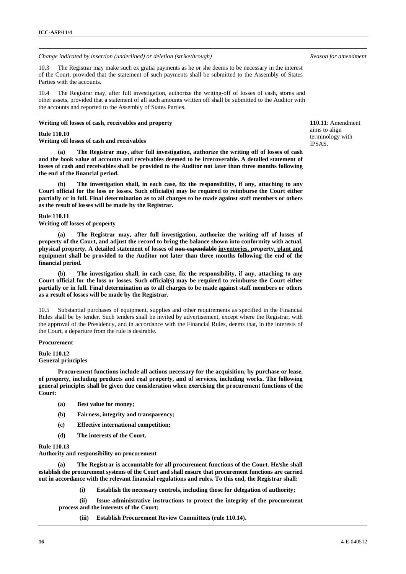10.3 The Registrar may make such ex gratia payments as he or she deems to be necessary in the interest of the Court, provided that the statement of such payments shall be submitted to the Assembly of States Parties with the accounts.

10.4 The Registrar may, after full investigation, authorize the writing-off of losses of cash, stores and other assets, provided that a statement of all such amounts written off shall be submitted to the Auditor with the accounts and reported to the Assembly of States Parties.

# **Writing off losses of cash, receivables and property**

**Rule 110.10** 

**Writing off losses of cash and receivables** 

 **(a) The Registrar may, after full investigation, authorize the writing off of losses of cash and the book value of accounts and receivables deemed to be irrecoverable. A detailed statement of losses of cash and receivables shall be provided to the Auditor not later than three months following the end of the financial period.** 

 **(b) The investigation shall, in each case, fix the responsibility, if any, attaching to any Court official for the loss or losses. Such official(s) may be required to reimburse the Court either partially or in full. Final determination as to all charges to be made against staff members or others as the result of losses will be made by the Registrar.** 

# **Rule 110.11**

**Writing off losses of property** 

 **(a) The Registrar may, after full investigation, authorize the writing off of losses of property of the Court, and adjust the record to bring the balance shown into conformity with actual, physical property. A detailed statement of losses of non-expendable inventories, property, plant and equipment shall be provided to the Auditor not later than three months following the end of the financial period.** 

 **(b) The investigation shall, in each case, fix the responsibility, if any, attaching to any Court official for the loss or losses. Such official(s) may be required to reimburse the Court either partially or in full. Final determination as to all charges to be made against staff members or others as a result of losses will be made by the Registrar.**

10.5 Substantial purchases of equipment, supplies and other requirements as specified in the Financial Rules shall be by tender. Such tenders shall be invited by advertisement, except where the Registrar, with the approval of the Presidency, and in accordance with the Financial Rules, deems that, in the interests of the Court, a departure from the rule is desirable.

# **Procurement**

**Rule 110.12 General principles** 

 **Procurement functions include all actions necessary for the acquisition, by purchase or lease, of property, including products and real property, and of services, including works. The following general principles shall be given due consideration when exercising the procurement functions of the Court:** 

- **(a) Best value for money;**
- **(b) Fairness, integrity and transparency;**
- **(c) Effective international competition;**
- **(d) The interests of the Court.**

# **Rule 110.13**

**Authority and responsibility on procurement** 

The Registrar is accountable for all procurement functions of the Court. He/she shall **establish the procurement systems of the Court and shall ensure that procurement functions are carried out in accordance with the relevant financial regulations and rules. To this end, the Registrar shall:** 

**(i) Establish the necessary controls, including those for delegation of authority;** 

**(ii) Issue administrative instructions to protect the integrity of the procurement process and the interests of the Court;** 

**(iii) Establish Procurement Review Committees (rule 110.14).** 

**110.11**: Amendment aims to align terminology with IPSAS.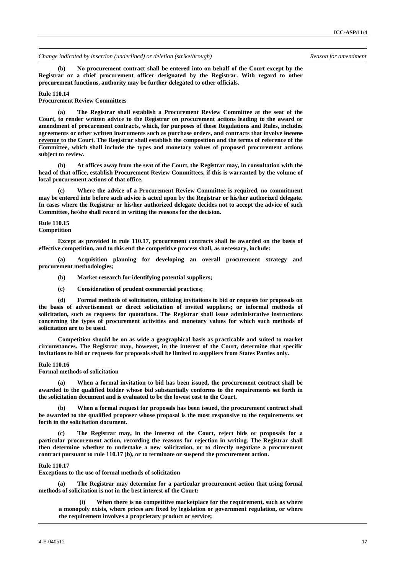**(b) No procurement contract shall be entered into on behalf of the Court except by the Registrar or a chief procurement officer designated by the Registrar. With regard to other procurement functions, authority may be further delegated to other officials.** 

# **Rule 110.14**

**Procurement Review Committees** 

 **(a) The Registrar shall establish a Procurement Review Committee at the seat of the Court, to render written advice to the Registrar on procurement actions leading to the award or amendment of procurement contracts, which, for purposes of these Regulations and Rules, includes agreements or other written instruments such as purchase orders, and contracts that involve income revenue to the Court. The Registrar shall establish the composition and the terms of reference of the Committee, which shall include the types and monetary values of proposed procurement actions subject to review.** 

 **(b) At offices away from the seat of the Court, the Registrar may, in consultation with the head of that office, establish Procurement Review Committees, if this is warranted by the volume of local procurement actions of that office.** 

 **(c) Where the advice of a Procurement Review Committee is required, no commitment may be entered into before such advice is acted upon by the Registrar or his/her authorized delegate. In cases where the Registrar or his/her authorized delegate decides not to accept the advice of such Committee, he/she shall record in writing the reasons for the decision.** 

#### **Rule 110.15 Competition**

 **Except as provided in rule 110.17, procurement contracts shall be awarded on the basis of effective competition, and to this end the competitive process shall, as necessary, include:** 

 **(a) Acquisition planning for developing an overall procurement strategy and procurement methodologies;** 

- **(b) Market research for identifying potential suppliers;**
- **(c) Consideration of prudent commercial practices;**

 **(d) Formal methods of solicitation, utilizing invitations to bid or requests for proposals on the basis of advertisement or direct solicitation of invited suppliers; or informal methods of solicitation, such as requests for quotations. The Registrar shall issue administrative instructions concerning the types of procurement activities and monetary values for which such methods of solicitation are to be used.** 

 **Competition should be on as wide a geographical basis as practicable and suited to market circumstances. The Registrar may, however, in the interest of the Court, determine that specific invitations to bid or requests for proposals shall be limited to suppliers from States Parties only.** 

# **Rule 110.16**

### **Formal methods of solicitation**

 **(a) When a formal invitation to bid has been issued, the procurement contract shall be awarded to the qualified bidder whose bid substantially conforms to the requirements set forth in the solicitation document and is evaluated to be the lowest cost to the Court.** 

When a formal request for proposals has been issued, the procurement contract shall **be awarded to the qualified proposer whose proposal is the most responsive to the requirements set forth in the solicitation document.** 

 **(c) The Registrar may, in the interest of the Court, reject bids or proposals for a particular procurement action, recording the reasons for rejection in writing. The Registrar shall then determine whether to undertake a new solicitation, or to directly negotiate a procurement contract pursuant to rule 110.17 (b), or to terminate or suspend the procurement action.** 

# **Rule 110.17**

**Exceptions to the use of formal methods of solicitation** 

 **(a) The Registrar may determine for a particular procurement action that using formal methods of solicitation is not in the best interest of the Court:** 

**(i) When there is no competitive marketplace for the requirement, such as where a monopoly exists, where prices are fixed by legislation or government regulation, or where the requirement involves a proprietary product or service;**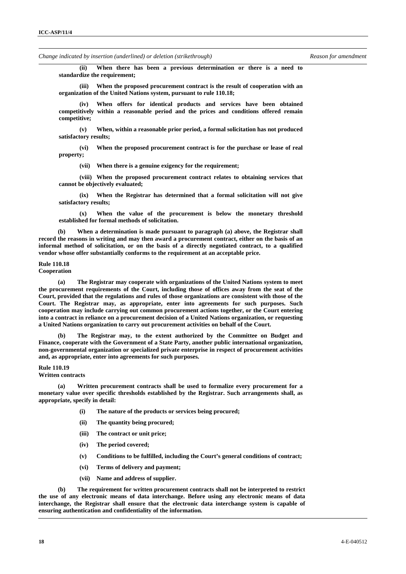**(ii) When there has been a previous determination or there is a need to standardize the requirement;** 

**(iii) When the proposed procurement contract is the result of cooperation with an organization of the United Nations system, pursuant to rule 110.18;** 

**(iv) When offers for identical products and services have been obtained competitively within a reasonable period and the prices and conditions offered remain competitive;** 

**(v) When, within a reasonable prior period, a formal solicitation has not produced satisfactory results;** 

**(vi) When the proposed procurement contract is for the purchase or lease of real property;** 

**(vii) When there is a genuine exigency for the requirement;** 

**(viii) When the proposed procurement contract relates to obtaining services that cannot be objectively evaluated;** 

**(ix) When the Registrar has determined that a formal solicitation will not give satisfactory results;** 

**(x) When the value of the procurement is below the monetary threshold established for formal methods of solicitation.** 

When a determination is made pursuant to paragraph (a) above, the Registrar shall **record the reasons in writing and may then award a procurement contract, either on the basis of an informal method of solicitation, or on the basis of a directly negotiated contract, to a qualified vendor whose offer substantially conforms to the requirement at an acceptable price.** 

# **Rule 110.18**

**Cooperation** 

 **(a) The Registrar may cooperate with organizations of the United Nations system to meet the procurement requirements of the Court, including those of offices away from the seat of the Court, provided that the regulations and rules of those organizations are consistent with those of the Court. The Registrar may, as appropriate, enter into agreements for such purposes. Such cooperation may include carrying out common procurement actions together, or the Court entering into a contract in reliance on a procurement decision of a United Nations organization, or requesting a United Nations organization to carry out procurement activities on behalf of the Court.** 

 **(b) The Registrar may, to the extent authorized by the Committee on Budget and Finance, cooperate with the Government of a State Party, another public international organization, non-governmental organization or specialized private enterprise in respect of procurement activities and, as appropriate, enter into agreements for such purposes.** 

# **Rule 110.19**

# **Written contracts**

Written procurement contracts shall be used to formalize every procurement for a **monetary value over specific thresholds established by the Registrar. Such arrangements shall, as appropriate, specify in detail:** 

- **(i) The nature of the products or services being procured;**
- **(ii) The quantity being procured;**
- **(iii) The contract or unit price;**
- **(iv) The period covered;**
- **(v) Conditions to be fulfilled, including the Court's general conditions of contract;**
- **(vi) Terms of delivery and payment;**
- **(vii) Name and address of supplier.**

 **(b) The requirement for written procurement contracts shall not be interpreted to restrict the use of any electronic means of data interchange. Before using any electronic means of data interchange, the Registrar shall ensure that the electronic data interchange system is capable of ensuring authentication and confidentiality of the information.**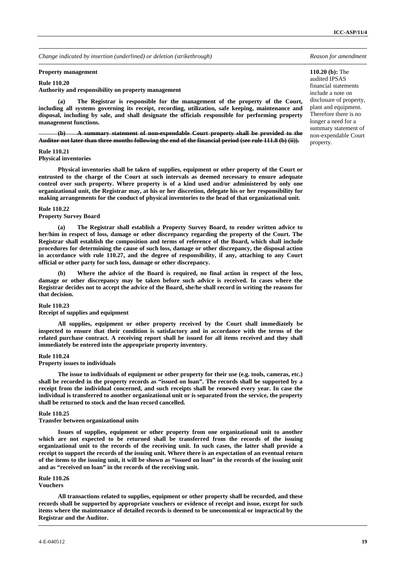#### **Property management**

# **Rule 110.20**

**Authority and responsibility on property management** 

**110.20 (b):** The audited IPSAS financial statements include a note on disclosure of property, plant and equipment. Therefore there is no longer a need for a summary statement of non-expendable Court property.

The Registrar is responsible for the management of the property of the Court, **including all systems governing its receipt, recording, utilization, safe keeping, maintenance and disposal, including by sale, and shall designate the officials responsible for performing property management functions.** 

**(b) A summary statement of non-expendable Court property shall be provided to the Auditor not later than three months following the end of the financial period (see rule 111.8 (b) (ii)).**

#### **Rule 110.21**

**Physical inventories** 

 **Physical inventories shall be taken of supplies, equipment or other property of the Court or entrusted to the charge of the Court at such intervals as deemed necessary to ensure adequate control over such property. Where property is of a kind used and/or administered by only one organizational unit, the Registrar may, at his or her discretion, delegate his or her responsibility for making arrangements for the conduct of physical inventories to the head of that organizational unit.** 

# **Rule 110.22**

#### **Property Survey Board**

 **(a) The Registrar shall establish a Property Survey Board, to render written advice to her/him in respect of loss, damage or other discrepancy regarding the property of the Court. The Registrar shall establish the composition and terms of reference of the Board, which shall include procedures for determining the cause of such loss, damage or other discrepancy, the disposal action in accordance with rule 110.27, and the degree of responsibility, if any, attaching to any Court official or other party for such loss, damage or other discrepancy.** 

 **(b) Where the advice of the Board is required, no final action in respect of the loss, damage or other discrepancy may be taken before such advice is received. In cases where the Registrar decides not to accept the advice of the Board, she/he shall record in writing the reasons for that decision.** 

#### **Rule 110.23**

#### **Receipt of supplies and equipment**

 **All supplies, equipment or other property received by the Court shall immediately be inspected to ensure that their condition is satisfactory and in accordance with the terms of the related purchase contract. A receiving report shall be issued for all items received and they shall immediately be entered into the appropriate property inventory.** 

#### **Rule 110.24**

# **Property issues to individuals**

 **The issue to individuals of equipment or other property for their use (e.g. tools, cameras, etc.) shall be recorded in the property records as "issued on loan". The records shall be supported by a receipt from the individual concerned, and such receipts shall be renewed every year. In case the individual is transferred to another organizational unit or is separated from the service, the property shall be returned to stock and the loan record cancelled.** 

#### **Rule 110.25**

### **Transfer between organizational units**

 **Issues of supplies, equipment or other property from one organizational unit to another which are not expected to be returned shall be transferred from the records of the issuing organizational unit to the records of the receiving unit. In such cases, the latter shall provide a receipt to support the records of the issuing unit. Where there is an expectation of an eventual return of the items to the issuing unit, it will be shown as "issued on loan" in the records of the issuing unit and as "received on loan" in the records of the receiving unit.** 

### **Rule 110.26**

**Vouchers** 

 **All transactions related to supplies, equipment or other property shall be recorded, and these records shall be supported by appropriate vouchers or evidence of receipt and issue, except for such items where the maintenance of detailed records is deemed to be uneconomical or impractical by the Registrar and the Auditor.**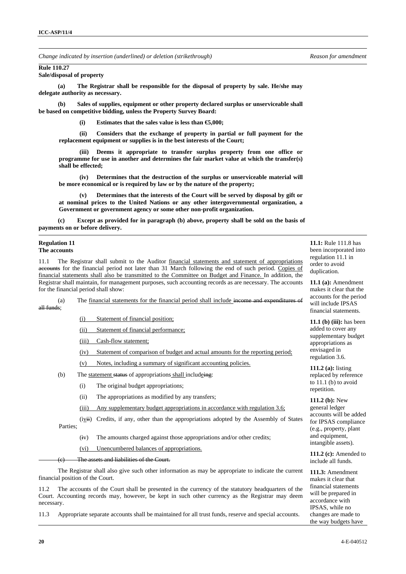# **Rule 110.27**

# **Sale/disposal of property**

 **(a) The Registrar shall be responsible for the disposal of property by sale. He/she may delegate authority as necessary.** 

 **(b) Sales of supplies, equipment or other property declared surplus or unserviceable shall be based on competitive bidding, unless the Property Survey Board:** 

**(i) Estimates that the sales value is less than €5,000;** 

**(ii) Considers that the exchange of property in partial or full payment for the replacement equipment or supplies is in the best interests of the Court;** 

Deems it appropriate to transfer surplus property from one office or **programme for use in another and determines the fair market value at which the transfer(s) shall be effected;** 

**(iv) Determines that the destruction of the surplus or unserviceable material will be more economical or is required by law or by the nature of the property;** 

Determines that the interests of the Court will be served by disposal by gift or **at nominal prices to the United Nations or any other intergovernmental organization, a Government or government agency or some other non-profit organization.** 

 **(c) Except as provided for in paragraph (b) above, property shall be sold on the basis of payments on or before delivery.**

#### **Regulation 11 The accounts**

11.1 The Registrar shall submit to the Auditor financial statements and statement of appropriations accounts for the financial period not later than 31 March following the end of such period. Copies of financial statements shall also be transmitted to the Committee on Budget and Finance. In addition, the Registrar shall maintain, for management purposes, such accounting records as are necessary. The accounts for the financial period shall show:

 (a) The financial statements for the financial period shall include income and expenditures of all funds;

(i) Statement of financial position;

(ii) Statement of financial performance;

(iii) Cash-flow statement;

(iv) Statement of comparison of budget and actual amounts for the reporting period;

- (v) Notes, including a summary of significant accounting policies.
- (b) The statement status of appropriations shall includeing:
	- (i) The original budget appropriations;
	- (ii) The appropriations as modified by any transfers;
	- (iii) Any supplementary budget appropriations in accordance with regulation 3.6;

 $(ivi)$  Credits, if any, other than the appropriations adopted by the Assembly of States Parties;

- (iv) The amounts charged against those appropriations and/or other credits;
- (vi) Unencumbered balances of appropriations.

The assets and liabilities of the Court.

 The Registrar shall also give such other information as may be appropriate to indicate the current financial position of the Court.

11.2 The accounts of the Court shall be presented in the currency of the statutory headquarters of the Court. Accounting records may, however, be kept in such other currency as the Registrar may deem necessary.

11.3 Appropriate separate accounts shall be maintained for all trust funds, reserve and special accounts.

**11.1:** Rule 111.8 has been incorporated into regulation 11.1 in order to avoid duplication.

**11.1 (a):** Amendment makes it clear that the accounts for the period will include IPSAS financial statements.

**11.1 (b) (iii):** has been added to cover any supplementary budget appropriations as envisaged in regulation 3.6.

**111.2 (a):** listing replaced by reference to  $11.1$  (b) to avoid repetition.

**111.2 (b):** New general ledger accounts will be added for IPSAS compliance (e.g., property, plant and equipment, intangible assets).

**111.2 (c):** Amended to include all funds.

**111.3:** Amendment makes it clear that financial statements will be prepared in accordance with IPSAS, while no changes are made to the way budgets have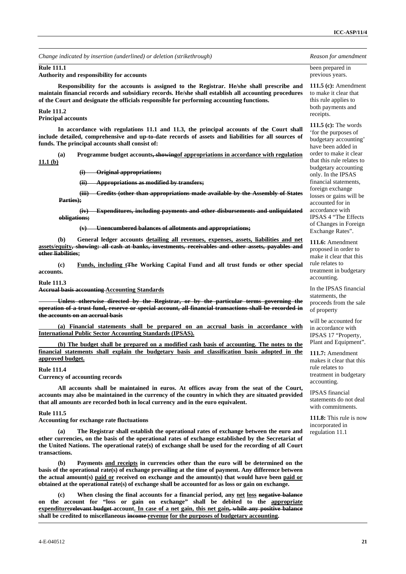#### **Rule 111.1**

**Authority and responsibility for accounts** 

 **Responsibility for the accounts is assigned to the Registrar. He/she shall prescribe and maintain financial records and subsidiary records. He/she shall establish all accounting procedures of the Court and designate the officials responsible for performing accounting functions.** 

#### **Rule 111.2 Principal accounts**

 **In accordance with regulations 11.1 and 11.3, the principal accounts of the Court shall include detailed, comprehensive and up-to-date records of assets and liabilities for all sources of funds. The principal accounts shall consist of:** 

 **(a) Programme budget accounts, showingof appropriations in accordance with regulation 11.1 (b)**

**(i) Original appropriations;**

**(ii) Appropriations as modified by transfers;**

**(iii) Credits (other than appropriations made available by the Assembly of States Parties);**

**(iv) Expenditures, including payments and other disbursements and unliquidated obligations;**

**(v) Unencumbered balances of allotments and appropriations;**

 **(b) General ledger accounts detailing all revenues, expenses, assets, liabilities and net assets/equity, showing: all cash at banks, investments, receivables and other assets, payables and other liabilities;** 

 **(c) Funds, including tThe Working Capital Fund and all trust funds or other special accounts.** 

#### **Rule 111.3**

**Accrual basis accounting Accounting Standards**

**Unless otherwise directed by the Registrar, or by the particular terms governing the operation of a trust fund, reserve or special account, all financial transactions shall be recorded in the accounts on an accrual basis**

 **(a) Financial statements shall be prepared on an accrual basis in accordance with International Public Sector Accounting Standards (IPSAS).**

 **(b) The budget shall be prepared on a modified cash basis of accounting. The notes to the financial statements shall explain the budgetary basis and classification basis adopted in the approved budget.**

#### **Rule 111.4**

**Currency of accounting records** 

 **All accounts shall be maintained in euros. At offices away from the seat of the Court, accounts may also be maintained in the currency of the country in which they are situated provided that all amounts are recorded both in local currency and in the euro equivalent.** 

#### **Rule 111.5**

**Accounting for exchange rate fluctuations** 

 **(a) The Registrar shall establish the operational rates of exchange between the euro and other currencies, on the basis of the operational rates of exchange established by the Secretariat of the United Nations. The operational rate(s) of exchange shall be used for the recording of all Court transactions.** 

 **(b) Payments and receipts in currencies other than the euro will be determined on the basis of the operational rate(s) of exchange prevailing at the time of payment. Any difference between the actual amount(s) paid or received on exchange and the amount(s) that would have been paid or obtained at the operational rate(s) of exchange shall be accounted for as loss or gain on exchange.** 

When closing the final accounts for a financial period, any net loss negative balance **on the account for "loss or gain on exchange" shall be debited to the appropriate expenditurerelevant budget account. In case of a net gain, this net gain, while any positive balance shall be credited to miscellaneous income revenue for the purposes of budgetary accounting.** 

been prepared in previous years.

**111.5 (c):** Amendment to make it clear that this rule applies to both payments and receipts.

**111.5 (c):** The words 'for the purposes of budgetary accounting' have been added in order to make it clear that this rule relates to budgetary accounting only. In the IPSAS financial statements, foreign exchange losses or gains will be accounted for in accordance with IPSAS 4 "The Effects of Changes in Foreign Exchange Rates".

**111.6:** Amendment proposed in order to make it clear that this rule relates to treatment in budgetary accounting.

In the IPSAS financial statements, the proceeds from the sale of property

will be accounted for in accordance with IPSAS 17 "Property, Plant and Equipment".

**111.7:** Amendment makes it clear that this rule relates to treatment in budgetary accounting.

IPSAS financial statements do not deal with commitments.

**111.8:** This rule is now incorporated in regulation 11.1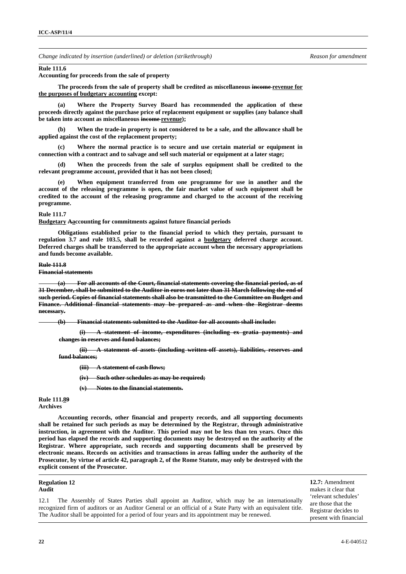#### **Rule 111.6**

**Accounting for proceeds from the sale of property** 

 **The proceeds from the sale of property shall be credited as miscellaneous income revenue for the purposes of budgetary accounting except:** 

 **(a) Where the Property Survey Board has recommended the application of these proceeds directly against the purchase price of replacement equipment or supplies (any balance shall be taken into account as miscellaneous income revenue);** 

 **(b) When the trade-in property is not considered to be a sale, and the allowance shall be applied against the cost of the replacement property;** 

 **(c) Where the normal practice is to secure and use certain material or equipment in connection with a contract and to salvage and sell such material or equipment at a later stage;** 

 **(d) When the proceeds from the sale of surplus equipment shall be credited to the relevant programme account, provided that it has not been closed;** 

 **(e) When equipment transferred from one programme for use in another and the account of the releasing programme is open, the fair market value of such equipment shall be credited to the account of the releasing programme and charged to the account of the receiving programme.** 

### **Rule 111.7**

**Budgetary Aaccounting for commitments against future financial periods** 

 **Obligations established prior to the financial period to which they pertain, pursuant to regulation 3.7 and rule 103.5, shall be recorded against a budgetary deferred charge account. Deferred charges shall be transferred to the appropriate account when the necessary appropriations and funds become available.** 

# **Rule 111.8**

**Financial statements**

**(a) For all accounts of the Court, financial statements covering the financial period, as of 31 December, shall be submitted to the Auditor in euros not later than 31 March following the end of such period. Copies of financial statements shall also be transmitted to the Committee on Budget and Finance. Additional financial statements may be prepared as and when the Registrar deems necessary.**

**(b) Financial statements submitted to the Auditor for all accounts shall include:**

**(i) A statement of income, expenditures (including ex gratia payments) and changes in reserves and fund balances;**

**(ii) A statement of assets (including written-off assets), liabilities, reserves and fund balances;**

**(iii) A statement of cash flows;**

**(iv) Such other schedules as may be required;**

**(v) Notes to the financial statements.**

**Rule 111.89 Archives** 

 **Accounting records, other financial and property records, and all supporting documents shall be retained for such periods as may be determined by the Registrar, through administrative instruction, in agreement with the Auditor. This period may not be less than ten years. Once this period has elapsed the records and supporting documents may be destroyed on the authority of the Registrar. Where appropriate, such records and supporting documents shall be preserved by electronic means. Records on activities and transactions in areas falling under the authority of the Prosecutor, by virtue of article 42, paragraph 2, of the Rome Statute, may only be destroyed with the explicit consent of the Prosecutor.**

# **Regulation 12**

**Audit** 

12.1 The Assembly of States Parties shall appoint an Auditor, which may be an internationally recognized firm of auditors or an Auditor General or an official of a State Party with an equivalent title. The Auditor shall be appointed for a period of four years and its appointment may be renewed.

**12.7:** Amendment makes it clear that 'relevant schedules' are those that the Registrar decides to present with financial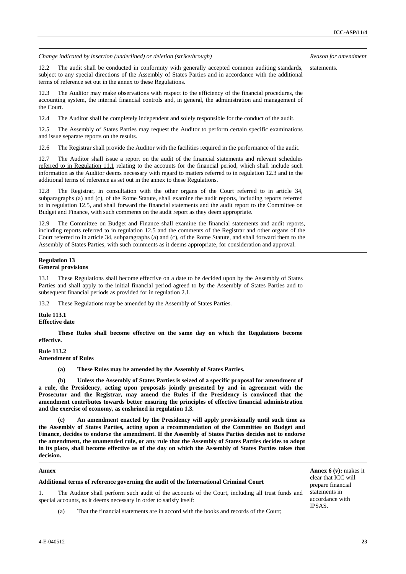| Change indicated by insertion (underlined) or deletion (strikethrough)                                                                                                                                                                                                                                                                                                                                                                                                                                                       | Reason for amendment                                |
|------------------------------------------------------------------------------------------------------------------------------------------------------------------------------------------------------------------------------------------------------------------------------------------------------------------------------------------------------------------------------------------------------------------------------------------------------------------------------------------------------------------------------|-----------------------------------------------------|
| The audit shall be conducted in conformity with generally accepted common auditing standards,<br>12.2<br>subject to any special directions of the Assembly of States Parties and in accordance with the additional<br>terms of reference set out in the annex to these Regulations.                                                                                                                                                                                                                                          | statements.                                         |
| 12.3<br>The Auditor may make observations with respect to the efficiency of the financial procedures, the<br>accounting system, the internal financial controls and, in general, the administration and management of<br>the Court.                                                                                                                                                                                                                                                                                          |                                                     |
| 12.4<br>The Auditor shall be completely independent and solely responsible for the conduct of the audit.                                                                                                                                                                                                                                                                                                                                                                                                                     |                                                     |
| 12.5<br>The Assembly of States Parties may request the Auditor to perform certain specific examinations<br>and issue separate reports on the results.                                                                                                                                                                                                                                                                                                                                                                        |                                                     |
| 12.6<br>The Registrar shall provide the Auditor with the facilities required in the performance of the audit.                                                                                                                                                                                                                                                                                                                                                                                                                |                                                     |
| 12.7<br>The Auditor shall issue a report on the audit of the financial statements and relevant schedules<br>referred to in Regulation 11.1 relating to the accounts for the financial period, which shall include such<br>information as the Auditor deems necessary with regard to matters referred to in regulation 12.3 and in the<br>additional terms of reference as set out in the annex to these Regulations.                                                                                                         |                                                     |
| The Registrar, in consultation with the other organs of the Court referred to in article 34,<br>12.8<br>subparagraphs (a) and (c), of the Rome Statute, shall examine the audit reports, including reports referred<br>to in regulation 12.5, and shall forward the financial statements and the audit report to the Committee on<br>Budget and Finance, with such comments on the audit report as they deem appropriate.                                                                                                    |                                                     |
| The Committee on Budget and Finance shall examine the financial statements and audit reports,<br>12.9<br>including reports referred to in regulation 12.5 and the comments of the Registrar and other organs of the<br>Court referred to in article 34, subparagraphs (a) and (c), of the Rome Statute, and shall forward them to the<br>Assembly of States Parties, with such comments as it deems appropriate, for consideration and approval.                                                                             |                                                     |
| <b>Regulation 13</b><br><b>General provisions</b>                                                                                                                                                                                                                                                                                                                                                                                                                                                                            |                                                     |
| 13.1<br>These Regulations shall become effective on a date to be decided upon by the Assembly of States<br>Parties and shall apply to the initial financial period agreed to by the Assembly of States Parties and to<br>subsequent financial periods as provided for in regulation 2.1.                                                                                                                                                                                                                                     |                                                     |
| These Regulations may be amended by the Assembly of States Parties.<br>13.2                                                                                                                                                                                                                                                                                                                                                                                                                                                  |                                                     |
| <b>Rule 113.1</b><br><b>Effective date</b>                                                                                                                                                                                                                                                                                                                                                                                                                                                                                   |                                                     |
| These Rules shall become effective on the same day on which the Regulations become<br>effective.                                                                                                                                                                                                                                                                                                                                                                                                                             |                                                     |
| Rule 113.2<br><b>Amendment of Rules</b>                                                                                                                                                                                                                                                                                                                                                                                                                                                                                      |                                                     |
| These Rules may be amended by the Assembly of States Parties.<br>(a)                                                                                                                                                                                                                                                                                                                                                                                                                                                         |                                                     |
| (b)<br>Unless the Assembly of States Parties is seized of a specific proposal for amendment of<br>a rule, the Presidency, acting upon proposals jointly presented by and in agreement with the<br>Prosecutor and the Registrar, may amend the Rules if the Presidency is convinced that the<br>amendment contributes towards better ensuring the principles of effective financial administration<br>and the exercise of economy, as enshrined in regulation 1.3.                                                            |                                                     |
| An amendment enacted by the Presidency will apply provisionally until such time as<br>(c)<br>the Assembly of States Parties, acting upon a recommendation of the Committee on Budget and<br>Finance, decides to endorse the amendment. If the Assembly of States Parties decides not to endorse<br>the amendment, the unamended rule, or any rule that the Assembly of States Parties decides to adopt<br>in its place, shall become effective as of the day on which the Assembly of States Parties takes that<br>decision. |                                                     |
| Annex                                                                                                                                                                                                                                                                                                                                                                                                                                                                                                                        | <b>Annex 6 (v):</b> makes it<br>clear that ICC will |
| Additional terms of reference governing the audit of the International Criminal Court                                                                                                                                                                                                                                                                                                                                                                                                                                        | prepare financial                                   |

1. The Auditor shall perform such audit of the accounts of the Court, including all trust funds and special accounts, as it deems necessary in order to satisfy itself:

prepare financial statements in accordance with IPSAS.

(a) That the financial statements are in accord with the books and records of the Court;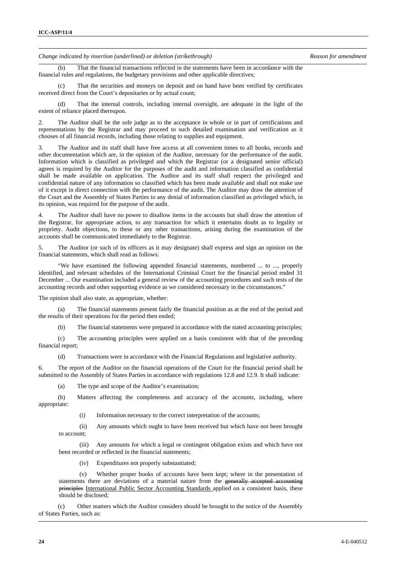(b) That the financial transactions reflected in the statements have been in accordance with the financial rules and regulations, the budgetary provisions and other applicable directives;

 (c) That the securities and moneys on deposit and on hand have been verified by certificates received direct from the Court's depositaries or by actual count;

 (d) That the internal controls, including internal oversight, are adequate in the light of the extent of reliance placed thereupon.

2. The Auditor shall be the sole judge as to the acceptance in whole or in part of certifications and representations by the Registrar and may proceed to such detailed examination and verification as it chooses of all financial records, including those relating to supplies and equipment.

3. The Auditor and its staff shall have free access at all convenient times to all books, records and other documentation which are, in the opinion of the Auditor, necessary for the performance of the audit. Information which is classified as privileged and which the Registrar (or a designated senior official) agrees is required by the Auditor for the purposes of the audit and information classified as confidential shall be made available on application. The Auditor and its staff shall respect the privileged and confidential nature of any information so classified which has been made available and shall not make use of it except in direct connection with the performance of the audit. The Auditor may draw the attention of the Court and the Assembly of States Parties to any denial of information classified as privileged which, in its opinion, was required for the purpose of the audit.

4. The Auditor shall have no power to disallow items in the accounts but shall draw the attention of the Registrar, for appropriate action, to any transaction for which it entertains doubt as to legality or propriety. Audit objections, to these or any other transactions, arising during the examination of the accounts shall be communicated immediately to the Registrar.

5. The Auditor (or such of its officers as it may designate) shall express and sign an opinion on the financial statements, which shall read as follows:

 "We have examined the following appended financial statements, numbered ... to ..., properly identified, and relevant schedules of the International Criminal Court for the financial period ended 31 December ... Our examination included a general review of the accounting procedures and such tests of the accounting records and other supporting evidence as we considered necessary in the circumstances."

The opinion shall also state, as appropriate, whether:

 (a) The financial statements present fairly the financial position as at the end of the period and the results of their operations for the period then ended;

(b) The financial statements were prepared in accordance with the stated accounting principles;

 (c) The accounting principles were applied on a basis consistent with that of the preceding financial report;

(d) Transactions were in accordance with the Financial Regulations and legislative authority.

6. The report of the Auditor on the financial operations of the Court for the financial period shall be submitted to the Assembly of States Parties in accordance with regulations 12.8 and 12.9. It shall indicate:

(a) The type and scope of the Auditor's examination;

 (b) Matters affecting the completeness and accuracy of the accounts, including, where appropriate:

(i) Information necessary to the correct interpretation of the accounts;

(ii) Any amounts which ought to have been received but which have not been brought to account;

(iii) Any amounts for which a legal or contingent obligation exists and which have not been recorded or reflected in the financial statements;

(iv) Expenditures not properly substantiated;

(v) Whether proper books of accounts have been kept; where in the presentation of statements there are deviations of a material nature from the generally accepted accounting principles International Public Sector Accounting Standards applied on a consistent basis, these should be disclosed;

 (c) Other matters which the Auditor considers should be brought to the notice of the Assembly of States Parties, such as: